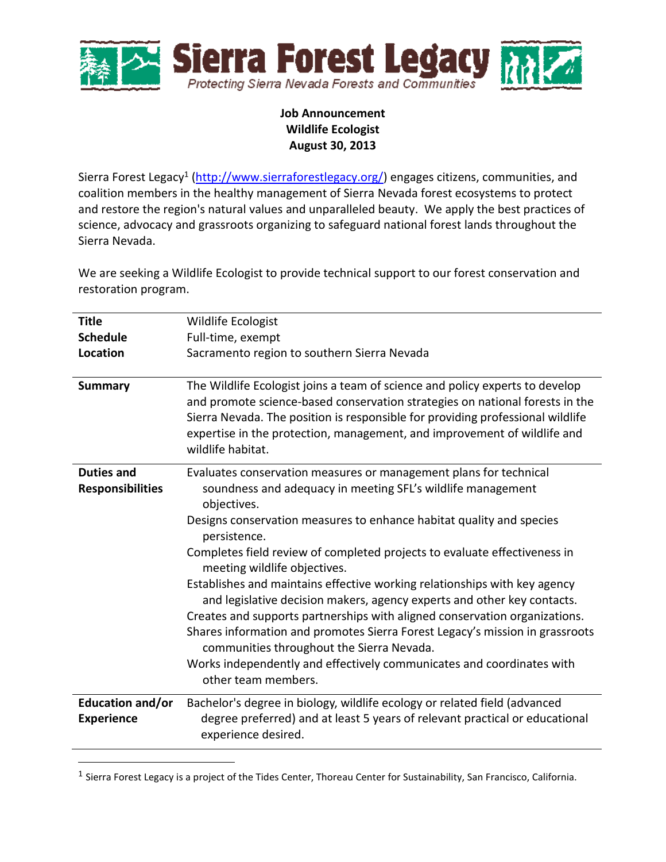

## **Job Announcement Wildlife Ecologist August 30, 2013**

Sierra Forest Legacy<sup>1</sup> [\(http://www.sierraforestlegacy.org/\)](http://www.sierraforestlegacy.org/) engages citizens, communities, and coalition members in the healthy management of Sierra Nevada forest ecosystems to protect and restore the region's natural values and unparalleled beauty. We apply the best practices of science, advocacy and grassroots organizing to safeguard national forest lands throughout the Sierra Nevada.

We are seeking a Wildlife Ecologist to provide technical support to our forest conservation and restoration program.

| <b>Title</b>                                 | Wildlife Ecologist                                                                                                                                                                                                                                                                                                                                                                                                                                                                                                                                                                                                                                                                                                                                                                                                      |
|----------------------------------------------|-------------------------------------------------------------------------------------------------------------------------------------------------------------------------------------------------------------------------------------------------------------------------------------------------------------------------------------------------------------------------------------------------------------------------------------------------------------------------------------------------------------------------------------------------------------------------------------------------------------------------------------------------------------------------------------------------------------------------------------------------------------------------------------------------------------------------|
| <b>Schedule</b>                              | Full-time, exempt                                                                                                                                                                                                                                                                                                                                                                                                                                                                                                                                                                                                                                                                                                                                                                                                       |
| <b>Location</b>                              | Sacramento region to southern Sierra Nevada                                                                                                                                                                                                                                                                                                                                                                                                                                                                                                                                                                                                                                                                                                                                                                             |
| <b>Summary</b>                               | The Wildlife Ecologist joins a team of science and policy experts to develop<br>and promote science-based conservation strategies on national forests in the<br>Sierra Nevada. The position is responsible for providing professional wildlife<br>expertise in the protection, management, and improvement of wildlife and<br>wildlife habitat.                                                                                                                                                                                                                                                                                                                                                                                                                                                                         |
| <b>Duties and</b><br><b>Responsibilities</b> | Evaluates conservation measures or management plans for technical<br>soundness and adequacy in meeting SFL's wildlife management<br>objectives.<br>Designs conservation measures to enhance habitat quality and species<br>persistence.<br>Completes field review of completed projects to evaluate effectiveness in<br>meeting wildlife objectives.<br>Establishes and maintains effective working relationships with key agency<br>and legislative decision makers, agency experts and other key contacts.<br>Creates and supports partnerships with aligned conservation organizations.<br>Shares information and promotes Sierra Forest Legacy's mission in grassroots<br>communities throughout the Sierra Nevada.<br>Works independently and effectively communicates and coordinates with<br>other team members. |
| Education and/or<br><b>Experience</b>        | Bachelor's degree in biology, wildlife ecology or related field (advanced<br>degree preferred) and at least 5 years of relevant practical or educational<br>experience desired.                                                                                                                                                                                                                                                                                                                                                                                                                                                                                                                                                                                                                                         |

 $^1$  Sierra Forest Legacy is a project of the Tides Center, Thoreau Center for Sustainability, San Francisco, California.

 $\overline{a}$